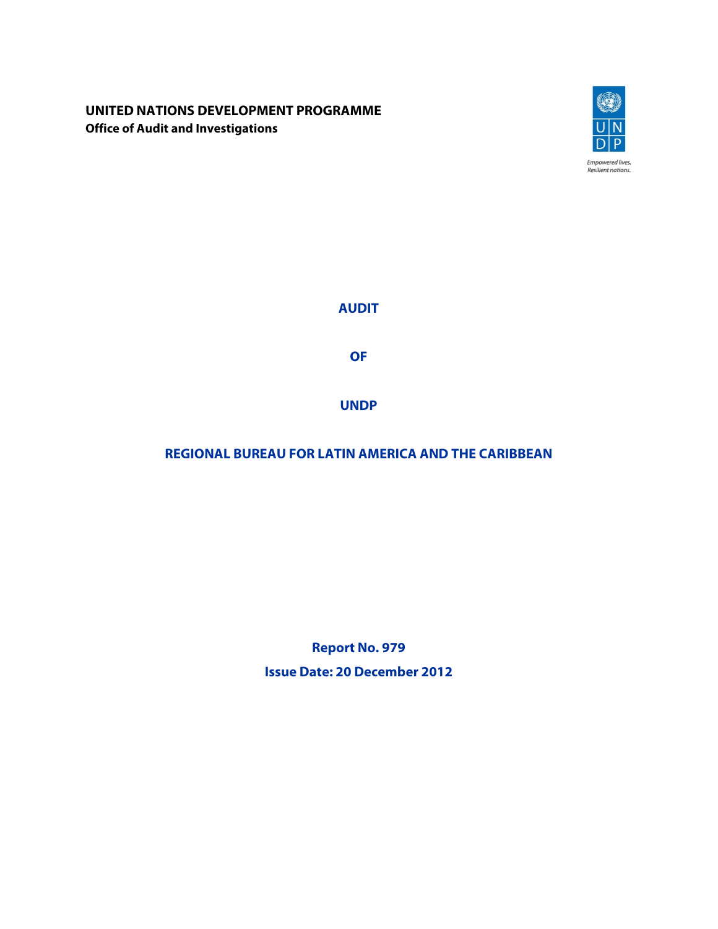## **UNITED NATIONS DEVELOPMENT PROGRAMME Office of Audit and Investigations**



**AUDIT** 

**OF** 

**UNDP** 

# **REGIONAL BUREAU FOR LATIN AMERICA AND THE CARIBBEAN**

**Report No. 979 Issue Date: 20 December 2012**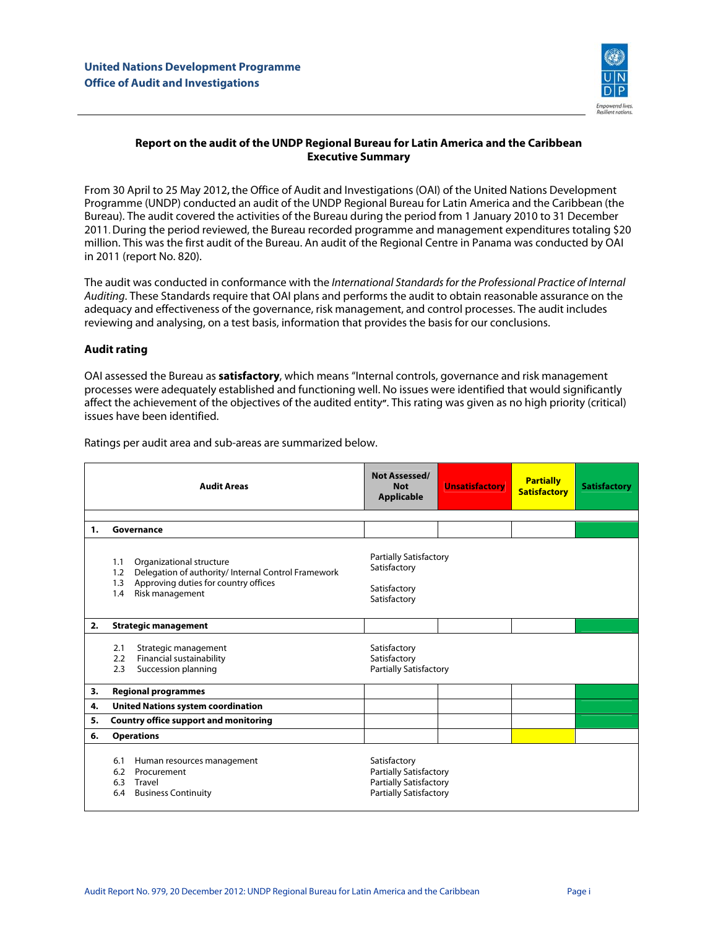

### **Report on the audit of the UNDP Regional Bureau for Latin America and the Caribbean Executive Summary**

From 30 April to 25 May 2012**,** the Office of Audit and Investigations (OAI) of the United Nations Development Programme (UNDP) conducted an audit of the UNDP Regional Bureau for Latin America and the Caribbean (the Bureau). The audit covered the activities of the Bureau during the period from 1 January 2010 to 31 December 2011. During the period reviewed, the Bureau recorded programme and management expenditures totaling \$20 million. This was the first audit of the Bureau. An audit of the Regional Centre in Panama was conducted by OAI in 2011 (report No. 820).

The audit was conducted in conformance with the International Standards for the Professional Practice of Internal Auditing. These Standards require that OAI plans and performs the audit to obtain reasonable assurance on the adequacy and effectiveness of the governance, risk management, and control processes. The audit includes reviewing and analysing, on a test basis, information that provides the basis for our conclusions.

#### **Audit rating**

OAI assessed the Bureau as **satisfactory**, which means "Internal controls, governance and risk management processes were adequately established and functioning well. No issues were identified that would significantly affect the achievement of the objectives of the audited entity**"**. This rating was given as no high priority (critical) issues have been identified.

|    | <b>Audit Areas</b>                                                                                                                                                     | Not Assessed/<br><b>Not</b><br><b>Applicable</b>                                                                | <b>Unsatisfactory</b> | <b>Partially</b><br><b>Satisfactory</b> | <b>Satisfactory</b> |
|----|------------------------------------------------------------------------------------------------------------------------------------------------------------------------|-----------------------------------------------------------------------------------------------------------------|-----------------------|-----------------------------------------|---------------------|
| 1. | Governance                                                                                                                                                             |                                                                                                                 |                       |                                         |                     |
|    | Organizational structure<br>1.1<br>Delegation of authority/ Internal Control Framework<br>1.2<br>Approving duties for country offices<br>1.3<br>Risk management<br>1.4 | <b>Partially Satisfactory</b><br>Satisfactory<br>Satisfactory<br>Satisfactory                                   |                       |                                         |                     |
| 2. | <b>Strategic management</b>                                                                                                                                            |                                                                                                                 |                       |                                         |                     |
|    | Strategic management<br>2.1<br>Financial sustainability<br>2.2<br>Succession planning<br>2.3                                                                           | Satisfactory<br>Satisfactory<br><b>Partially Satisfactory</b>                                                   |                       |                                         |                     |
| 3. | <b>Regional programmes</b>                                                                                                                                             |                                                                                                                 |                       |                                         |                     |
| 4. | <b>United Nations system coordination</b>                                                                                                                              |                                                                                                                 |                       |                                         |                     |
| 5. | <b>Country office support and monitoring</b>                                                                                                                           |                                                                                                                 |                       |                                         |                     |
| 6. | <b>Operations</b>                                                                                                                                                      |                                                                                                                 |                       |                                         |                     |
|    | Human resources management<br>6.1<br>Procurement<br>6.2<br>6.3<br>Travel<br><b>Business Continuity</b><br>6.4                                                          | Satisfactory<br><b>Partially Satisfactory</b><br><b>Partially Satisfactory</b><br><b>Partially Satisfactory</b> |                       |                                         |                     |

Ratings per audit area and sub-areas are summarized below.